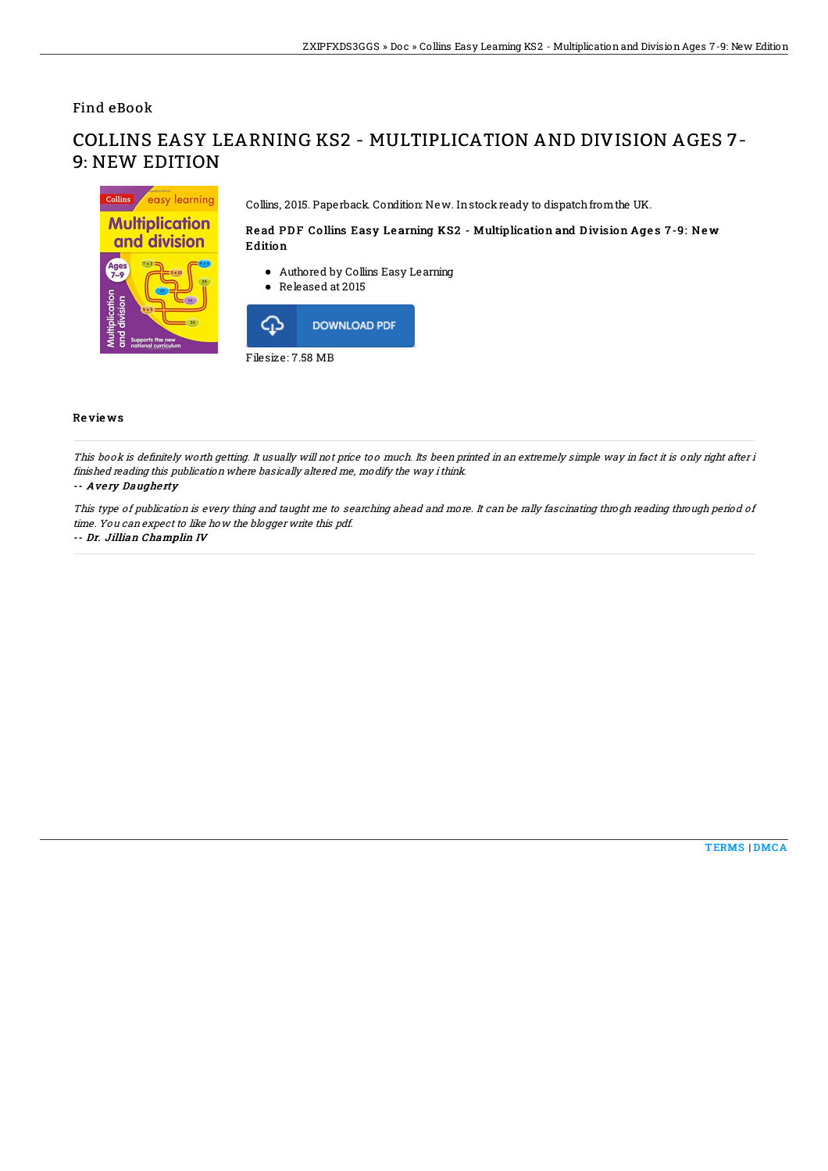Find eBook

# COLLINS EASY LEARNING KS2 - MULTIPLICATION AND DIVISION AGES 7- 9: NEW EDITION



Collins, 2015. Paperback. Condition: New. Instock ready to dispatch from the UK.

## Read PDF Collins Easy Learning KS2 - Multiplication and Division Ages 7-9: New **Edition**

- Authored by Collins Easy Learning
- Released at 2015



## Re vie ws

This book is definitely worth getting. It usually will not price too much. Its been printed in an extremely simple way in fact it is only right after i finished reading this publication where basically altered me, modify the way ithink.

#### -- Avery Daugherty

This type of publication is every thing and taught me to searching ahead and more. It can be rally fascinating throgh reading through period of time. You can expect to like how the blogger write this pdf.

#### -- Dr. Jillian Champlin IV